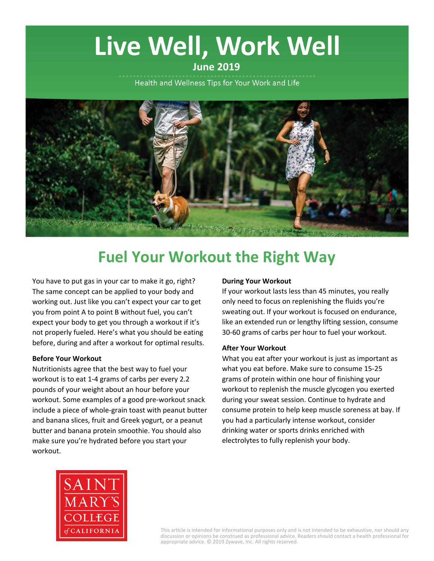# Live Well, Work Well

## **June 2019**

Health and Wellness Tips for Your Work and Life



# **Fuel Your Workout the Right Way**

You have to put gas in your car to make it go, right? The same concept can be applied to your body and working out. Just like you can't expect your car to get you from point A to point B without fuel, you can't expect your body to get you through a workout if it's not properly fueled. Here's what you should be eating before, during and after a workout for optimal results.

#### **Before Your Workout**

Nutritionists agree that the best way to fuel your workout is to eat 1-4 grams of carbs per every 2.2 pounds of your weight about an hour before your workout. Some examples of a good pre-workout snack include a piece of whole-grain toast with peanut butter and banana slices, fruit and Greek yogurt, or a peanut butter and banana protein smoothie. You should also make sure you're hydrated before you start your workout.

#### **During Your Workout**

If your workout lasts less than 45 minutes, you really only need to focus on replenishing the fluids you're sweating out. If your workout is focused on endurance, like an extended run or lengthy lifting session, consume 30-60 grams of carbs per hour to fuel your workout.

#### **After Your Workout**

What you eat after your workout is just as important as what you eat before. Make sure to consume 15-25 grams of protein within one hour of finishing your workout to replenish the muscle glycogen you exerted during your sweat session. Continue to hydrate and consume protein to help keep muscle soreness at bay. If you had a particularly intense workout, consider drinking water or sports drinks enriched with electrolytes to fully replenish your body.



This article is intended for informational purposes only and is not intended to be exhaustive, nor should any discussion or opinions be construed as professional advice. Readers should contact a health professional for appropriate advice. © 2019 Zywave, Inc. All rights reserved.